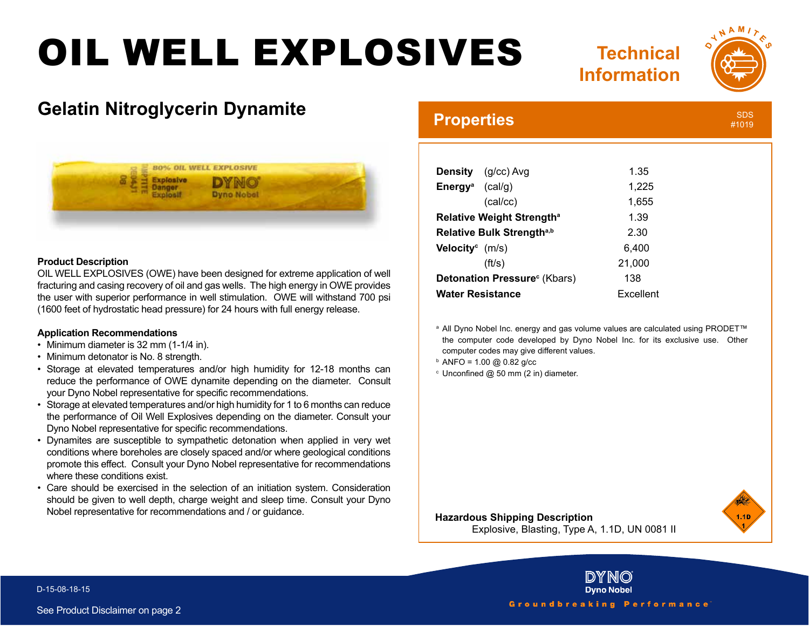# OIL WELL EXPLOSIVES





## **Gelatin Nitroglycerin Dynamite**



#### **Product Description**

OIL WELL EXPLOSIVES (OWE) have been designed for extreme application of well fracturing and casing recovery of oil and gas wells. The high energy in OWE provides the user with superior performance in well stimulation. OWE will withstand 700 psi (1600 feet of hydrostatic head pressure) for 24 hours with full energy release.

### **Application Recommendations**

- Minimum diameter is 32 mm (1-1/4 in).
- Minimum detonator is No. 8 strength.
- Storage at elevated temperatures and/or high humidity for 12-18 months can reduce the performance of OWE dynamite depending on the diameter. Consult your Dyno Nobel representative for specific recommendations.
- Storage at elevated temperatures and/or high humidity for 1 to 6 months can reduce the performance of Oil Well Explosives depending on the diameter. Consult your Dyno Nobel representative for specific recommendations.
- Dynamites are susceptible to sympathetic detonation when applied in very wet conditions where boreholes are closely spaced and/or where geological conditions promote this effect. Consult your Dyno Nobel representative for recommendations where these conditions exist.
- Care should be exercised in the selection of an initiation system. Consideration should be given to well depth, charge weight and sleep time. Consult your Dyno Nobel representative for recommendations and / or guidance.

## **Properties**

| ۰ |  |  |
|---|--|--|

|                                          | <b>Density</b> (g/cc) Avg | 1.35      |
|------------------------------------------|---------------------------|-----------|
| <b>Energy</b> <sup>a</sup> (cal/g)       |                           | 1,225     |
|                                          | (cal/cc)                  | 1,655     |
| Relative Weight Strength <sup>a</sup>    |                           | 1.39      |
| Relative Bulk Strength <sup>a,b</sup>    |                           | 2.30      |
| <b>Velocity</b> $(m/s)$                  |                           | 6,400     |
|                                          | (ft/s)                    | 21,000    |
| Detonation Pressure <sup>c</sup> (Kbars) |                           | 138       |
| <b>Water Resistance</b>                  |                           | Excellent |

a All Dyno Nobel Inc. energy and gas volume values are calculated using PRODET™ the computer code developed by Dyno Nobel Inc. for its exclusive use. Other computer codes may give different values.

- $b$  ANFO = 1.00 @ 0.82 g/cc
- $c$  Unconfined  $@$  50 mm (2 in) diameter.



### **Hazardous Shipping Description**

Explosive, Blasting, Type A, 1.1D, UN 0081 II



**Dyno Nobel** Groundbreaking Performance

DY NO